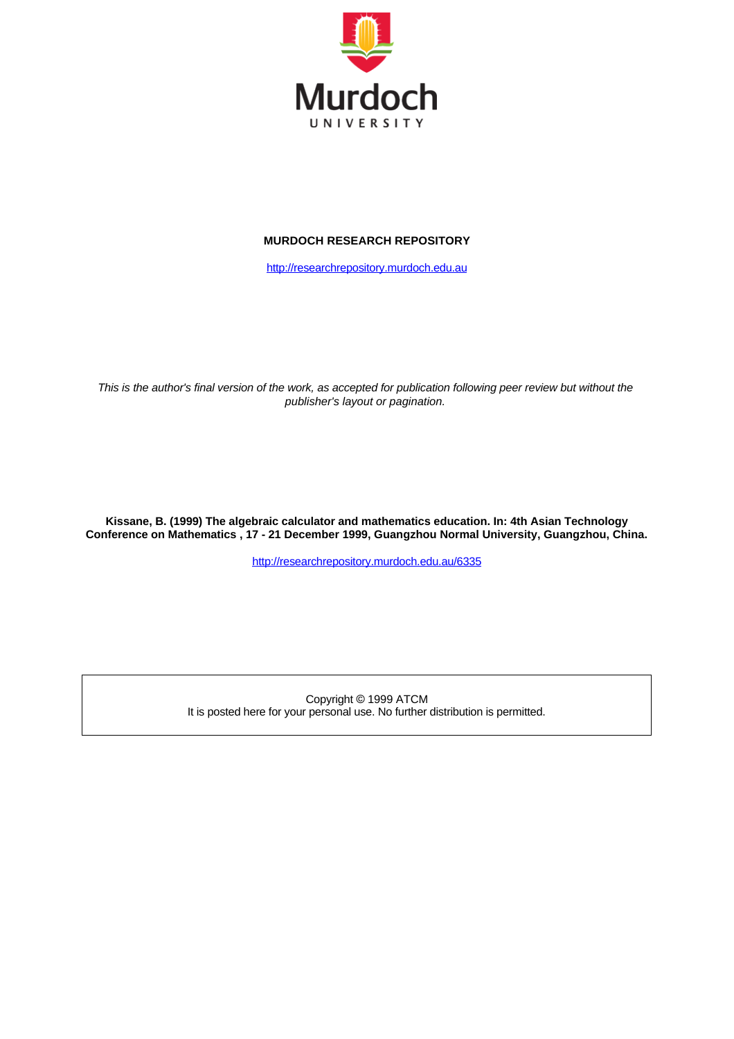

## **MURDOCH RESEARCH REPOSITORY**

[http://researchrepository.murdoch.edu.au](http://researchrepository.murdoch.edu.au/)

*This is the author's final version of the work, as accepted for publication following peer review but without the publisher's layout or pagination.*

**Kissane, B. (1999) The algebraic calculator and mathematics education. In: 4th Asian Technology Conference on Mathematics , 17 - 21 December 1999, Guangzhou Normal University, Guangzhou, China.**

<http://researchrepository.murdoch.edu.au/6335>

Copyright © 1999 ATCM It is posted here for your personal use. No further distribution is permitted.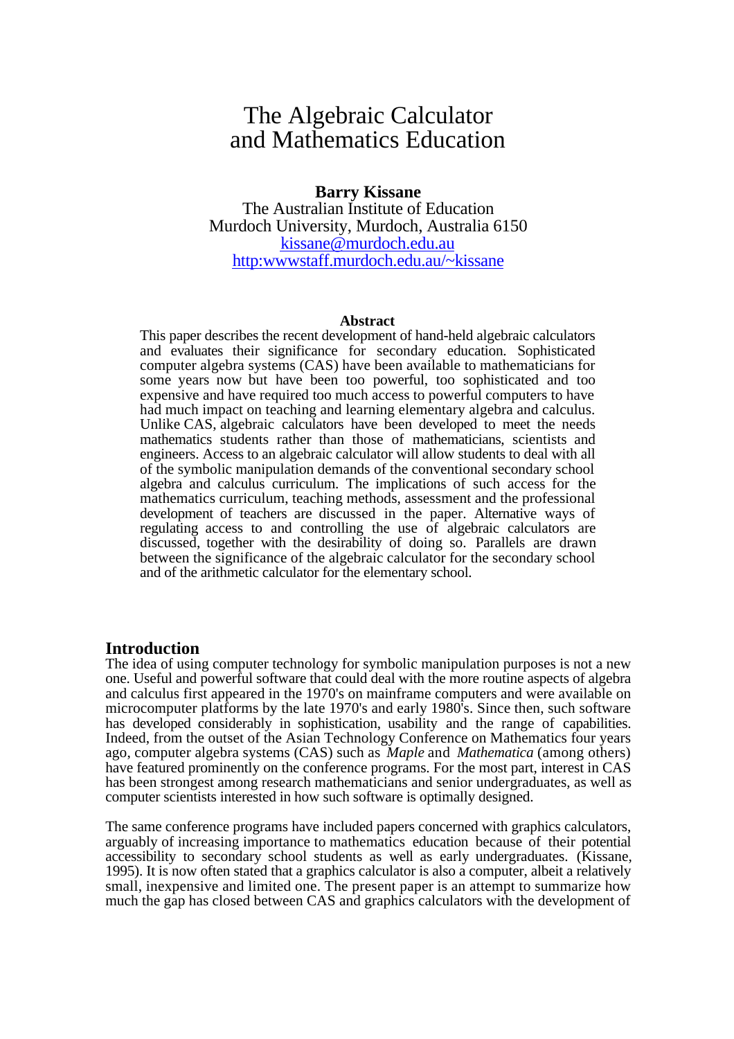# The Algebraic Calculator and Mathematics Education

# **Barry Kissane** The Australian Institute of Education Murdoch University, Murdoch, Australia 6150 kissane@murdoch.edu.au http:wwwstaff.murdoch.edu.au/~kissane

#### **[Abstract](mailto:kissane@murdoch.edu.au)**

This paper des[cribes the recent development of hand-held algebr](http:wwwstaff.murdoch.edu.au/~kissane)aic calculators and evaluates their significance for secondary education. Sophisticated computer algebra systems (CAS) have been available to mathematicians for some years now but have been too powerful, too sophisticated and too expensive and have required too much access to powerful computers to have had much impact on teaching and learning elementary algebra and calculus. Unlike CAS, algebraic calculators have been developed to meet the needs mathematics students rather than those of mathematicians, scientists and engineers. Access to an algebraic calculator will allow students to deal with all of the symbolic manipulation demands of the conventional secondary school algebra and calculus curriculum. The implications of such access for the mathematics curriculum, teaching methods, assessment and the professional development of teachers are discussed in the paper. Alternative ways of regulating access to and controlling the use of algebraic calculators are discussed, together with the desirability of doing so. Parallels are drawn between the significance of the algebraic calculator for the secondary school and of the arithmetic calculator for the elementary school.

## **Introduction**

The idea of using computer technology for symbolic manipulation purposes is not a new one. Useful and powerful software that could deal with the more routine aspects of algebra and calculus first appeared in the 1970's on mainframe computers and were available on microcomputer platforms by the late 1970's and early 1980's. Since then, such software has developed considerably in sophistication, usability and the range of capabilities. Indeed, from the outset of the Asian Technology Conference on Mathematics four years ago, computer algebra systems (CAS) such as *Maple* and *Mathematica* (among others) have featured prominently on the conference programs. For the most part, interest in CAS has been strongest among research mathematicians and senior undergraduates, as well as computer scientists interested in how such software is optimally designed.

The same conference programs have included papers concerned with graphics calculators, arguably of increasing importance to mathematics education because of their potential accessibility to secondary school students as well as early undergraduates. (Kissane, 1995). It is now often stated that a graphics calculator is also a computer, albeit a relatively small, inexpensive and limited one. The present paper is an attempt to summarize how much the gap has closed between CAS and graphics calculators with the development of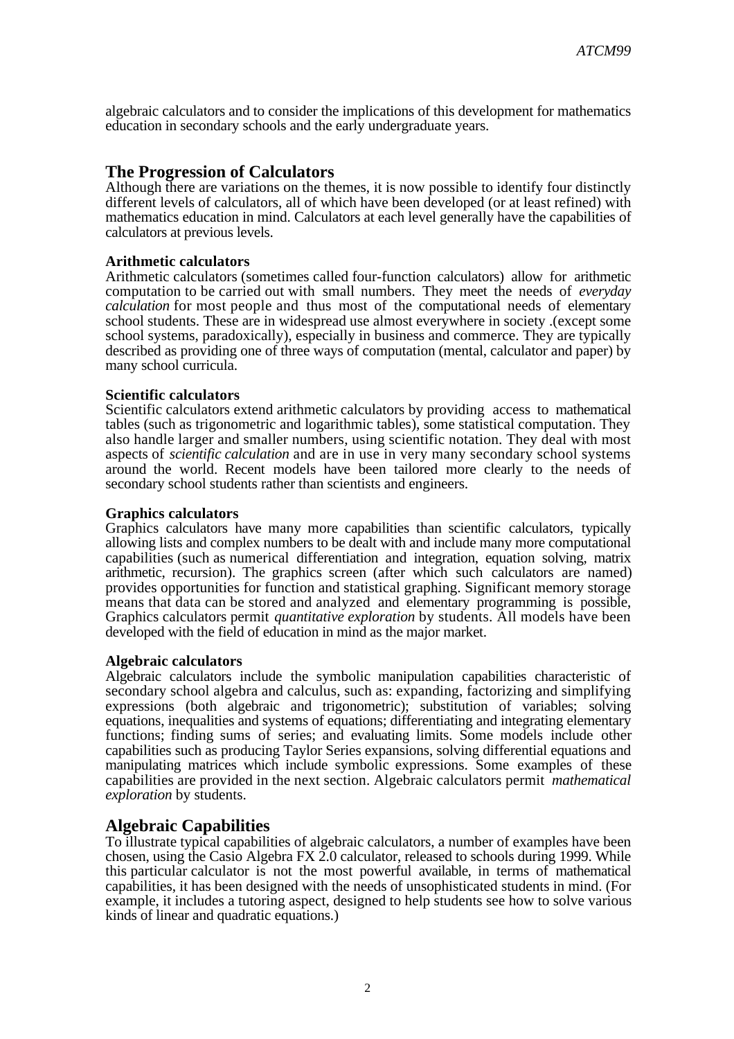algebraic calculators and to consider the implications of this development for mathematics education in secondary schools and the early undergraduate years.

# **The Progression of Calculators**

Although there are variations on the themes, it is now possible to identify four distinctly different levels of calculators, all of which have been developed (or at least refined) with mathematics education in mind. Calculators at each level generally have the capabilities of calculators at previous levels.

## **Arithmetic calculators**

Arithmetic calculators (sometimes called four-function calculators) allow for arithmetic computation to be carried out with small numbers. They meet the needs of *everyday calculation* for most people and thus most of the computational needs of elementary school students. These are in widespread use almost everywhere in society .(except some school systems, paradoxically), especially in business and commerce. They are typically described as providing one of three ways of computation (mental, calculator and paper) by many school curricula.

## **Scientific calculators**

Scientific calculators extend arithmetic calculators by providing access to mathematical tables (such as trigonometric and logarithmic tables), some statistical computation. They also handle larger and smaller numbers, using scientific notation. They deal with most aspects of *scientific calculation* and are in use in very many secondary school systems around the world. Recent models have been tailored more clearly to the needs of secondary school students rather than scientists and engineers.

## **Graphics calculators**

Graphics calculators have many more capabilities than scientific calculators, typically allowing lists and complex numbers to be dealt with and include many more computational capabilities (such as numerical differentiation and integration, equation solving, matrix arithmetic, recursion). The graphics screen (after which such calculators are named) provides opportunities for function and statistical graphing. Significant memory storage means that data can be stored and analyzed and elementary programming is possible, Graphics calculators permit *quantitative exploration* by students. All models have been developed with the field of education in mind as the major market.

## **Algebraic calculators**

Algebraic calculators include the symbolic manipulation capabilities characteristic of secondary school algebra and calculus, such as: expanding, factorizing and simplifying expressions (both algebraic and trigonometric); substitution of variables; solving equations, inequalities and systems of equations; differentiating and integrating elementary functions; finding sums of series; and evaluating limits. Some models include other capabilities such as producing Taylor Series expansions, solving differential equations and manipulating matrices which include symbolic expressions. Some examples of these capabilities are provided in the next section. Algebraic calculators permit *mathematical exploration* by students.

# **Algebraic Capabilities**

To illustrate typical capabilities of algebraic calculators, a number of examples have been chosen, using the Casio Algebra FX 2.0 calculator, released to schools during 1999. While this particular calculator is not the most powerful available, in terms of mathematical capabilities, it has been designed with the needs of unsophisticated students in mind. (For example, it includes a tutoring aspect, designed to help students see how to solve various kinds of linear and quadratic equations.)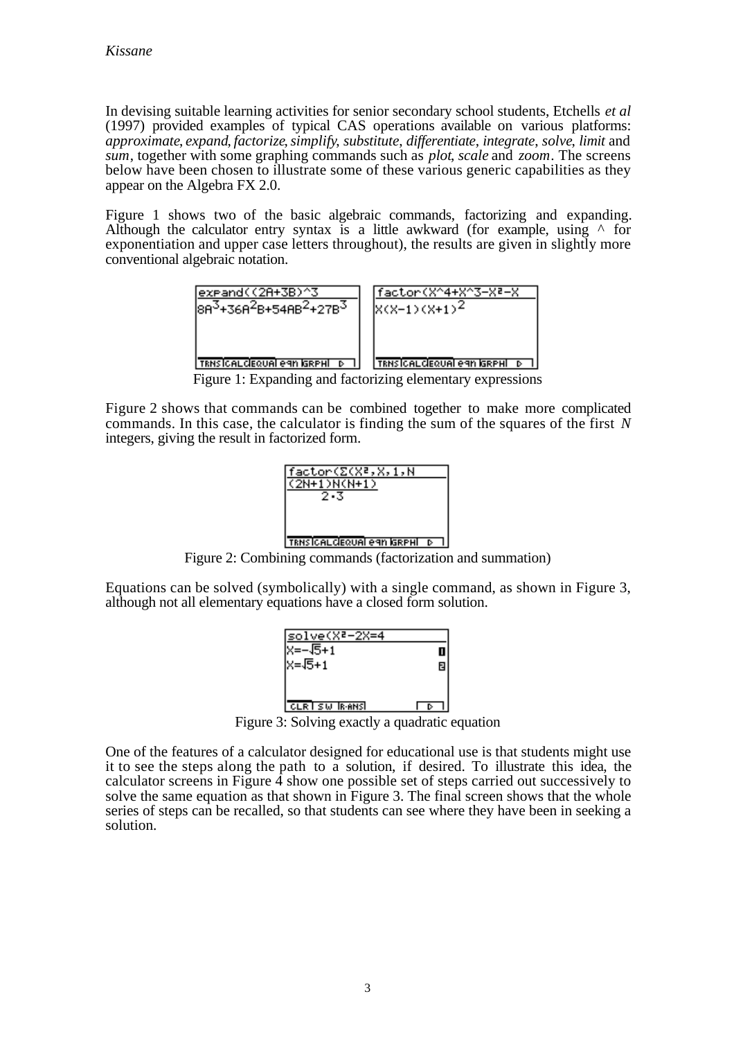In devising suitable learning activities for senior secondary school students, Etchells *et al* (1997) provided examples of typical CAS operations available on various platforms: *approximate*, *expand*, *factorize*, *simplify*, *substitute*, *differentiate*, *integrate*, *solve*, *limit* and *sum*, together with some graphing commands such as *plot*, *scale* and *zoom*. The screens below have been chosen to illustrate some of these various generic capabilities as they appear on the Algebra FX 2.0.

Figure 1 shows two of the basic algebraic commands, factorizing and expanding. Although the calculator entry syntax is a little awkward (for example, using  $\wedge$  for exponentiation and upper case letters throughout), the results are given in slightly more conventional algebraic notation.



Figure 1: Expanding and factorizing elementary expressions

Figure 2 shows that commands can be combined together to make more complicated commands. In this case, the calculator is finding the sum of the squares of the first *N* integers, giving the result in factorized form.



Figure 2: Combining commands (factorization and summation)

Equations can be solved (symbolically) with a single command, as shown in Figure 3, although not all elementary equations have a closed form solution.



Figure 3: Solving exactly a quadratic equation

One of the features of a calculator designed for educational use is that students might use it to see the steps along the path to a solution, if desired. To illustrate this idea, the calculator screens in Figure  $\overline{4}$  show one possible set of steps carried out successively to solve the same equation as that shown in Figure 3. The final screen shows that the whole series of steps can be recalled, so that students can see where they have been in seeking a solution.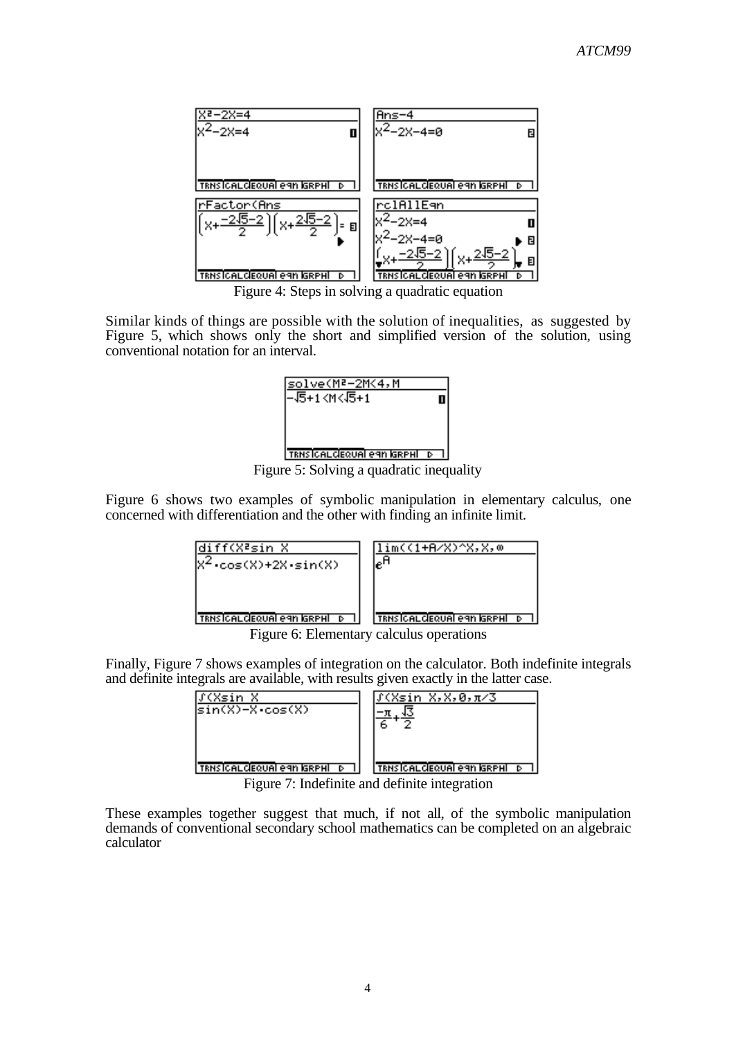

Figure 4: Steps in solving a quadratic equation

Similar kinds of things are possible with the solution of inequalities, as suggested by Figure 5, which shows only the short and simplified version of the solution, using conventional notation for an interval.



Figure 5: Solving a quadratic inequality

Figure 6 shows two examples of symbolic manipulation in elementary calculus, one concerned with differentiation and the other with finding an infinite limit.

| diff(X≧sin X                                           | .m((1+A/X)^X,X,0                                                            |
|--------------------------------------------------------|-----------------------------------------------------------------------------|
| $\cdot \cos(X) + 2X \cdot \sin(X)$                     | $e^H$                                                                       |
| $ \texttt{TRNSICALGEQUAI}$ eqn igrphi $ \texttt{p}^- $ | <b>TRNSICALCEQUAL eAN GRPHL</b><br>Figure 6: Flomentory coloulus operations |

Figure 6: Elementary calculus operations

Finally, Figure 7 shows examples of integration on the calculator. Both indefinite integrals and definite integrals are available, with results given exactly in the latter case.

| (Xsin X<br>$sin(X)-Xcos(X)$                   | ∫(Xsin X,X,0,π⁄3                  |
|-----------------------------------------------|-----------------------------------|
| TRNSICALCIEQUAI eAN IGRPHI D                  | <b>TRNSICALCEQUAL CAN GRPHL D</b> |
| Figure 7: Indefinite and definite integration |                                   |

These examples together suggest that much, if not all, of the symbolic manipulation demands of conventional secondary school mathematics can be completed on an algebraic calculator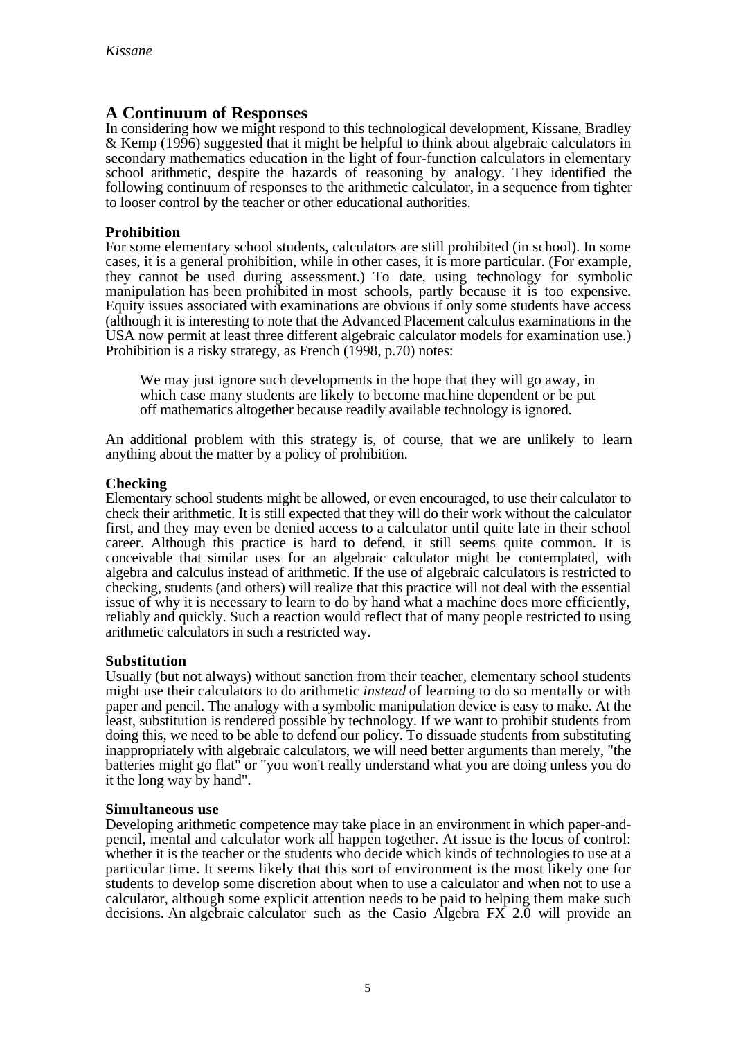# **A Continuum of Responses**

In considering how we might respond to this technological development, Kissane, Bradley & Kemp (1996) suggested that it might be helpful to think about algebraic calculators in secondary mathematics education in the light of four-function calculators in elementary school arithmetic, despite the hazards of reasoning by analogy. They identified the following continuum of responses to the arithmetic calculator, in a sequence from tighter to looser control by the teacher or other educational authorities.

# **Prohibition**

For some elementary school students, calculators are still prohibited (in school). In some cases, it is a general prohibition, while in other cases, it is more particular. (For example, they cannot be used during assessment.) To date, using technology for symbolic manipulation has been prohibited in most schools, partly because it is too expensive. Equity issues associated with examinations are obvious if only some students have access (although it is interesting to note that the Advanced Placement calculus examinations in the USA now permit at least three different algebraic calculator models for examination use.) Prohibition is a risky strategy, as French (1998, p.70) notes:

We may just ignore such developments in the hope that they will go away, in which case many students are likely to become machine dependent or be put off mathematics altogether because readily available technology is ignored.

An additional problem with this strategy is, of course, that we are unlikely to learn anything about the matter by a policy of prohibition.

## **Checking**

Elementary school students might be allowed, or even encouraged, to use their calculator to check their arithmetic. It is still expected that they will do their work without the calculator first, and they may even be denied access to a calculator until quite late in their school career. Although this practice is hard to defend, it still seems quite common. It is conceivable that similar uses for an algebraic calculator might be contemplated, with algebra and calculus instead of arithmetic. If the use of algebraic calculators is restricted to checking, students (and others) will realize that this practice will not deal with the essential issue of why it is necessary to learn to do by hand what a machine does more efficiently, reliably and quickly. Such a reaction would reflect that of many people restricted to using arithmetic calculators in such a restricted way.

## **Substitution**

Usually (but not always) without sanction from their teacher, elementary school students might use their calculators to do arithmetic *instead* of learning to do so mentally or with paper and pencil. The analogy with a symbolic manipulation device is easy to make. At the least, substitution is rendered possible by technology. If we want to prohibit students from doing this, we need to be able to defend our policy. To dissuade students from substituting inappropriately with algebraic calculators, we will need better arguments than merely, "the batteries might go flat" or "you won't really understand what you are doing unless you do it the long way by hand".

## **Simultaneous use**

Developing arithmetic competence may take place in an environment in which paper-andpencil, mental and calculator work all happen together. At issue is the locus of control: whether it is the teacher or the students who decide which kinds of technologies to use at a particular time. It seems likely that this sort of environment is the most likely one for students to develop some discretion about when to use a calculator and when not to use a calculator, although some explicit attention needs to be paid to helping them make such decisions. An algebraic calculator such as the Casio Algebra  $FX$  2.0 will provide an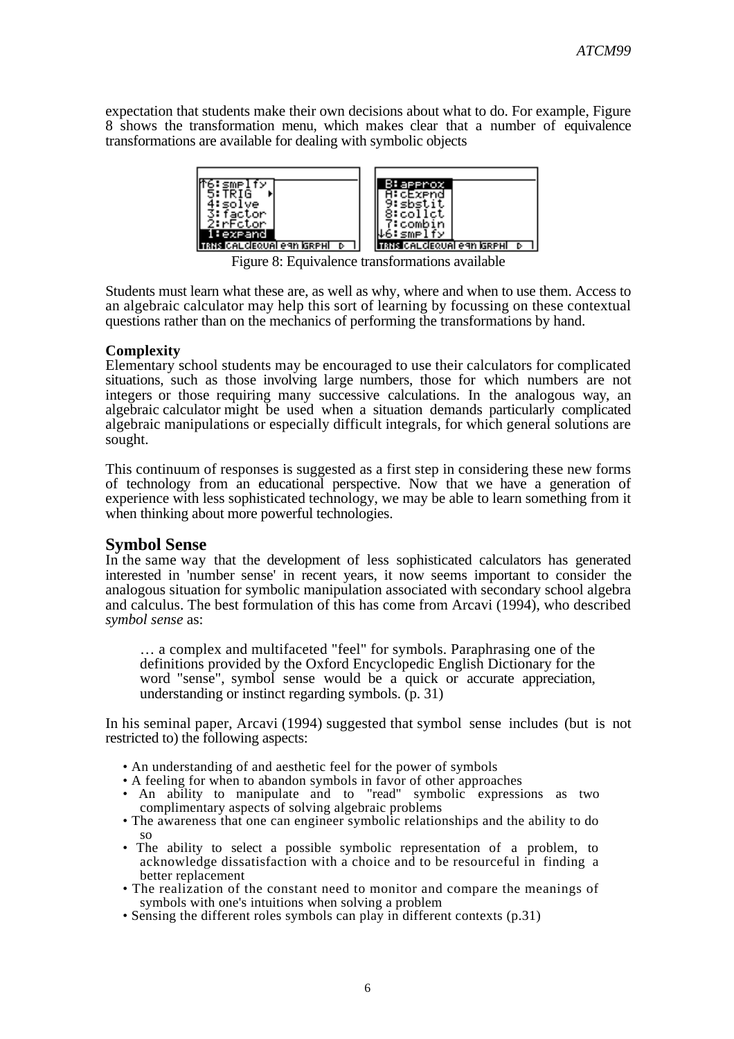expectation that students make their own decisions about what to do. For example, Figure 8 shows the transformation menu, which makes clear that a number of equivalence transformations are available for dealing with symbolic objects



Figure 8: Equivalence transformations available

Students must learn what these are, as well as why, where and when to use them. Access to an algebraic calculator may help this sort of learning by focussing on these contextual questions rather than on the mechanics of performing the transformations by hand.

## **Complexity**

Elementary school students may be encouraged to use their calculators for complicated situations, such as those involving large numbers, those for which numbers are not integers or those requiring many successive calculations. In the analogous way, an algebraic calculator might be used when a situation demands particularly complicated algebraic manipulations or especially difficult integrals, for which general solutions are sought.

This continuum of responses is suggested as a first step in considering these new forms of technology from an educational perspective. Now that we have a generation of experience with less sophisticated technology, we may be able to learn something from it when thinking about more powerful technologies.

# **Symbol Sense**

In the same way that the development of less sophisticated calculators has generated interested in 'number sense' in recent years, it now seems important to consider the analogous situation for symbolic manipulation associated with secondary school algebra and calculus. The best formulation of this has come from Arcavi (1994), who described *symbol sense* as:

… a complex and multifaceted "feel" for symbols. Paraphrasing one of the definitions provided by the Oxford Encyclopedic English Dictionary for the word "sense", symbol sense would be a quick or accurate appreciation, understanding or instinct regarding symbols. (p. 31)

In his seminal paper, Arcavi (1994) suggested that symbol sense includes (but is not restricted to) the following aspects:

- An understanding of and aesthetic feel for the power of symbols
- A feeling for when to abandon symbols in favor of other approaches
- An ability to manipulate and to "read" symbolic expressions as two complimentary aspects of solving algebraic problems
- The awareness that one can engineer symbolic relationships and the ability to do so
- The ability to select a possible symbolic representation of a problem, to acknowledge dissatisfaction with a choice and to be resourceful in finding a better replacement
- The realization of the constant need to monitor and compare the meanings of symbols with one's intuitions when solving a problem
- Sensing the different roles symbols can play in different contexts (p.31)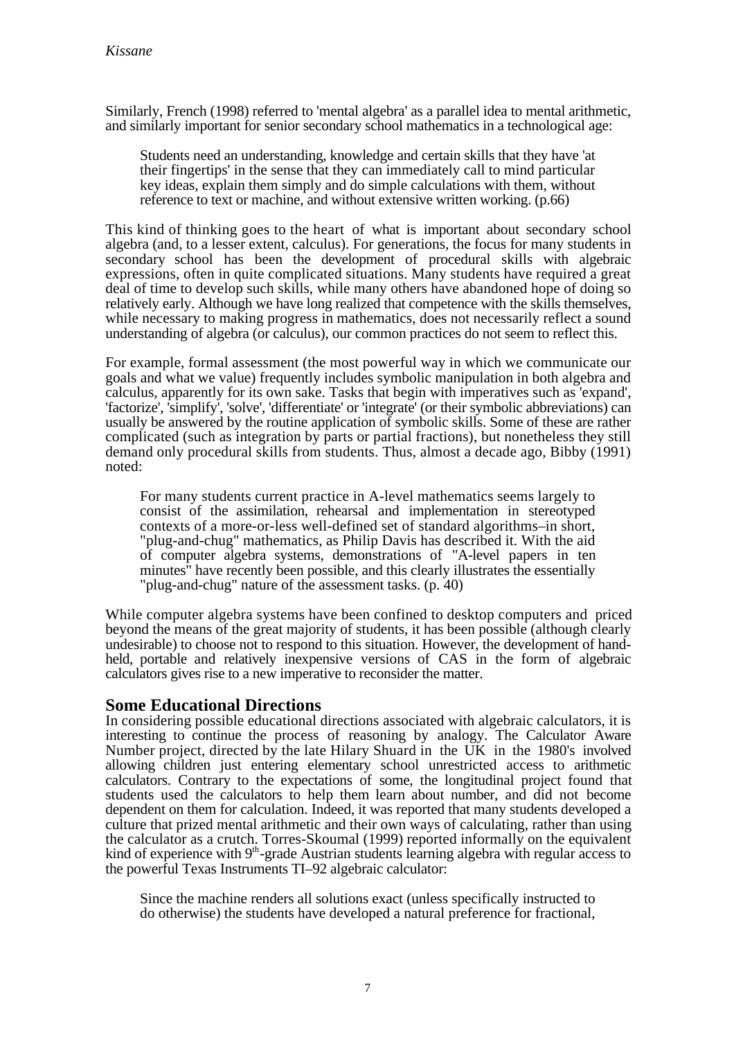Similarly, French (1998) referred to 'mental algebra' as a parallel idea to mental arithmetic, and similarly important for senior secondary school mathematics in a technological age:

Students need an understanding, knowledge and certain skills that they have 'at their fingertips' in the sense that they can immediately call to mind particular key ideas, explain them simply and do simple calculations with them, without reference to text or machine, and without extensive written working. (p.66)

This kind of thinking goes to the heart of what is important about secondary school algebra (and, to a lesser extent, calculus). For generations, the focus for many students in secondary school has been the development of procedural skills with algebraic expressions, often in quite complicated situations. Many students have required a great deal of time to develop such skills, while many others have abandoned hope of doing so relatively early. Although we have long realized that competence with the skills themselves, while necessary to making progress in mathematics, does not necessarily reflect a sound understanding of algebra (or calculus), our common practices do not seem to reflect this.

For example, formal assessment (the most powerful way in which we communicate our goals and what we value) frequently includes symbolic manipulation in both algebra and calculus, apparently for its own sake. Tasks that begin with imperatives such as 'expand', 'factorize', 'simplify', 'solve', 'differentiate' or 'integrate' (or their symbolic abbreviations) can usually be answered by the routine application of symbolic skills. Some of these are rather complicated (such as integration by parts or partial fractions), but nonetheless they still demand only procedural skills from students. Thus, almost a decade ago, Bibby (1991) noted:

For many students current practice in A-level mathematics seems largely to consist of the assimilation, rehearsal and implementation in stereotyped contexts of a more-or-less well-defined set of standard algorithms–in short, "plug-and-chug" mathematics, as Philip Davis has described it. With the aid of computer algebra systems, demonstrations of "A-level papers in ten minutes" have recently been possible, and this clearly illustrates the essentially "plug-and-chug" nature of the assessment tasks. (p. 40)

While computer algebra systems have been confined to desktop computers and priced beyond the means of the great majority of students, it has been possible (although clearly undesirable) to choose not to respond to this situation. However, the development of handheld, portable and relatively inexpensive versions of CAS in the form of algebraic calculators gives rise to a new imperative to reconsider the matter.

# **Some Educational Directions**

In considering possible educational directions associated with algebraic calculators, it is interesting to continue the process of reasoning by analogy. The Calculator Aware Number project, directed by the late Hilary Shuard in the UK in the 1980's involved allowing children just entering elementary school unrestricted access to arithmetic calculators. Contrary to the expectations of some, the longitudinal project found that students used the calculators to help them learn about number, and did not become dependent on them for calculation. Indeed, it was reported that many students developed a culture that prized mental arithmetic and their own ways of calculating, rather than using the calculator as a crutch. Torres-Skoumal (1999) reported informally on the equivalent kind of experience with  $9<sup>th</sup>$ -grade Austrian students learning algebra with regular access to the powerful Texas Instruments TI–92 algebraic calculator:

Since the machine renders all solutions exact (unless specifically instructed to do otherwise) the students have developed a natural preference for fractional,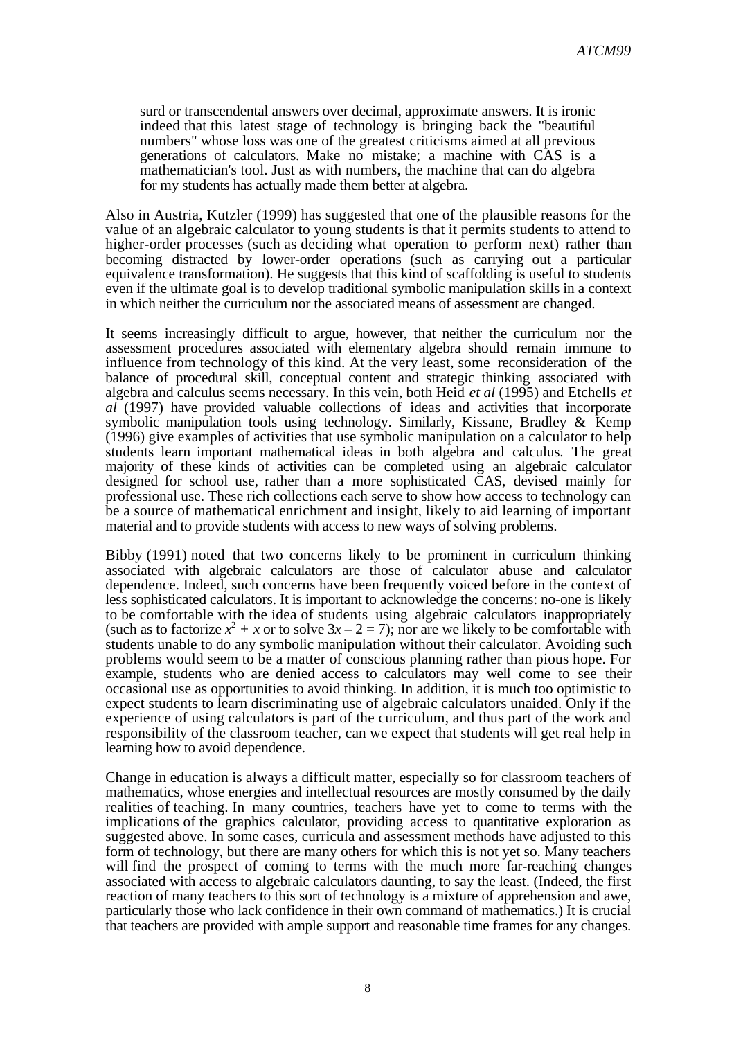surd or transcendental answers over decimal, approximate answers. It is ironic indeed that this latest stage of technology is bringing back the "beautiful numbers" whose loss was one of the greatest criticisms aimed at all previous generations of calculators. Make no mistake; a machine with CAS is a mathematician's tool. Just as with numbers, the machine that can do algebra for my students has actually made them better at algebra.

Also in Austria, Kutzler (1999) has suggested that one of the plausible reasons for the value of an algebraic calculator to young students is that it permits students to attend to higher-order processes (such as deciding what operation to perform next) rather than becoming distracted by lower-order operations (such as carrying out a particular equivalence transformation). He suggests that this kind of scaffolding is useful to students even if the ultimate goal is to develop traditional symbolic manipulation skills in a context in which neither the curriculum nor the associated means of assessment are changed.

It seems increasingly difficult to argue, however, that neither the curriculum nor the assessment procedures associated with elementary algebra should remain immune to influence from technology of this kind. At the very least, some reconsideration of the balance of procedural skill, conceptual content and strategic thinking associated with algebra and calculus seems necessary. In this vein, both Heid *et al* (1995) and Etchells *et al* (1997) have provided valuable collections of ideas and activities that incorporate symbolic manipulation tools using technology. Similarly, Kissane, Bradley & Kemp (1996) give examples of activities that use symbolic manipulation on a calculator to help students learn important mathematical ideas in both algebra and calculus. The great majority of these kinds of activities can be completed using an algebraic calculator designed for school use, rather than a more sophisticated CAS, devised mainly for professional use. These rich collections each serve to show how access to technology can be a source of mathematical enrichment and insight, likely to aid learning of important material and to provide students with access to new ways of solving problems.

Bibby (1991) noted that two concerns likely to be prominent in curriculum thinking associated with algebraic calculators are those of calculator abuse and calculator dependence. Indeed, such concerns have been frequently voiced before in the context of less sophisticated calculators. It is important to acknowledge the concerns: no-one is likely to be comfortable with the idea of students using algebraic calculators inappropriately (such as to factorize  $x^2 + x$  or to solve  $3x - 2 = 7$ ); nor are we likely to be comfortable with students unable to do any symbolic manipulation without their calculator. Avoiding such problems would seem to be a matter of conscious planning rather than pious hope. For example, students who are denied access to calculators may well come to see their occasional use as opportunities to avoid thinking. In addition, it is much too optimistic to expect students to learn discriminating use of algebraic calculators unaided. Only if the experience of using calculators is part of the curriculum, and thus part of the work and responsibility of the classroom teacher, can we expect that students will get real help in learning how to avoid dependence.

Change in education is always a difficult matter, especially so for classroom teachers of mathematics, whose energies and intellectual resources are mostly consumed by the daily realities of teaching. In many countries, teachers have yet to come to terms with the implications of the graphics calculator, providing access to quantitative exploration as suggested above. In some cases, curricula and assessment methods have adjusted to this form of technology, but there are many others for which this is not yet so. Many teachers will find the prospect of coming to terms with the much more far-reaching changes associated with access to algebraic calculators daunting, to say the least. (Indeed, the first reaction of many teachers to this sort of technology is a mixture of apprehension and awe, particularly those who lack confidence in their own command of mathematics.) It is crucial that teachers are provided with ample support and reasonable time frames for any changes.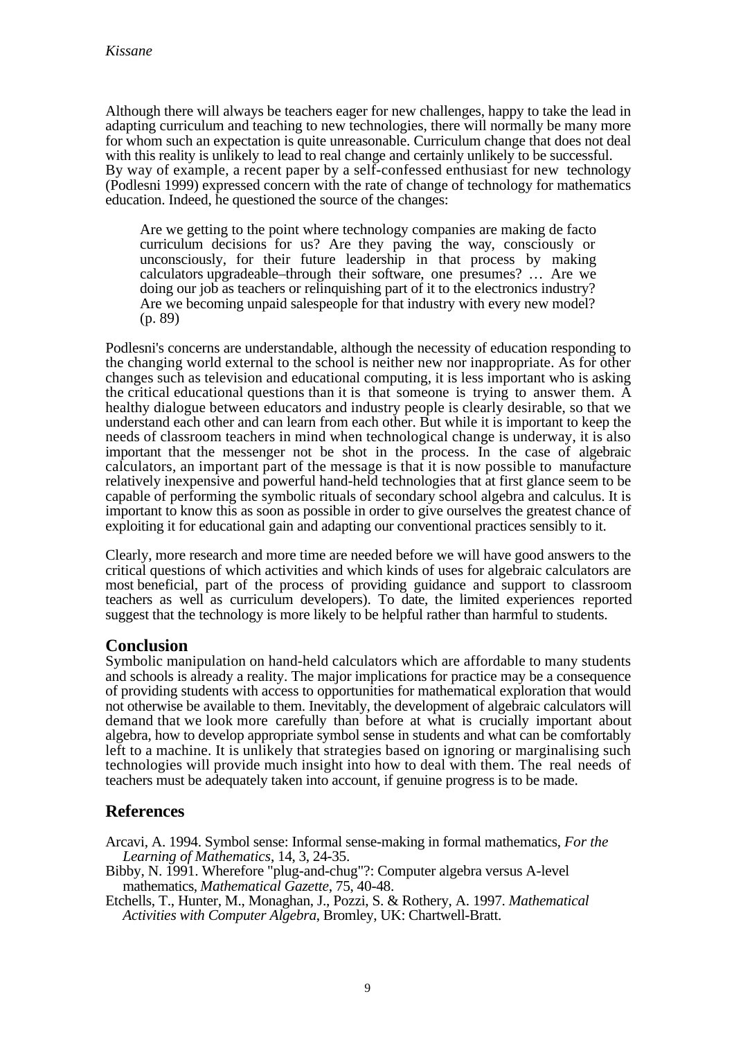Although there will always be teachers eager for new challenges, happy to take the lead in adapting curriculum and teaching to new technologies, there will normally be many more for whom such an expectation is quite unreasonable. Curriculum change that does not deal with this reality is unlikely to lead to real change and certainly unlikely to be successful. By way of example, a recent paper by a self-confessed enthusiast for new technology (Podlesni 1999) expressed concern with the rate of change of technology for mathematics education. Indeed, he questioned the source of the changes:

Are we getting to the point where technology companies are making de facto curriculum decisions for us? Are they paving the way, consciously or unconsciously, for their future leadership in that process by making calculators upgradeable–through their software, one presumes? … Are we doing our job as teachers or relinquishing part of it to the electronics industry? Are we becoming unpaid salespeople for that industry with every new model? (p. 89)

Podlesni's concerns are understandable, although the necessity of education responding to the changing world external to the school is neither new nor inappropriate. As for other changes such as television and educational computing, it is less important who is asking the critical educational questions than it is that someone is trying to answer them. A healthy dialogue between educators and industry people is clearly desirable, so that we understand each other and can learn from each other. But while it is important to keep the needs of classroom teachers in mind when technological change is underway, it is also important that the messenger not be shot in the process. In the case of algebraic calculators, an important part of the message is that it is now possible to manufacture relatively inexpensive and powerful hand-held technologies that at first glance seem to be capable of performing the symbolic rituals of secondary school algebra and calculus. It is important to know this as soon as possible in order to give ourselves the greatest chance of exploiting it for educational gain and adapting our conventional practices sensibly to it.

Clearly, more research and more time are needed before we will have good answers to the critical questions of which activities and which kinds of uses for algebraic calculators are most beneficial, part of the process of providing guidance and support to classroom teachers as well as curriculum developers). To date, the limited experiences reported suggest that the technology is more likely to be helpful rather than harmful to students.

# **Conclusion**

Symbolic manipulation on hand-held calculators which are affordable to many students and schools is already a reality. The major implications for practice may be a consequence of providing students with access to opportunities for mathematical exploration that would not otherwise be available to them. Inevitably, the development of algebraic calculators will demand that we look more carefully than before at what is crucially important about algebra, how to develop appropriate symbol sense in students and what can be comfortably left to a machine. It is unlikely that strategies based on ignoring or marginalising such technologies will provide much insight into how to deal with them. The real needs of teachers must be adequately taken into account, if genuine progress is to be made.

# **References**

Arcavi, A. 1994. Symbol sense: Informal sense-making in formal mathematics, *For the Learning of Mathematics*, 14, 3, 24-35.

Bibby, N. 1991. Wherefore "plug-and-chug"?: Computer algebra versus A-level mathematics, *Mathematical Gazette*, 75, 40-48.

Etchells, T., Hunter, M., Monaghan, J., Pozzi, S. & Rothery, A. 1997. *Mathematical Activities with Computer Algebra*, Bromley, UK: Chartwell-Bratt.